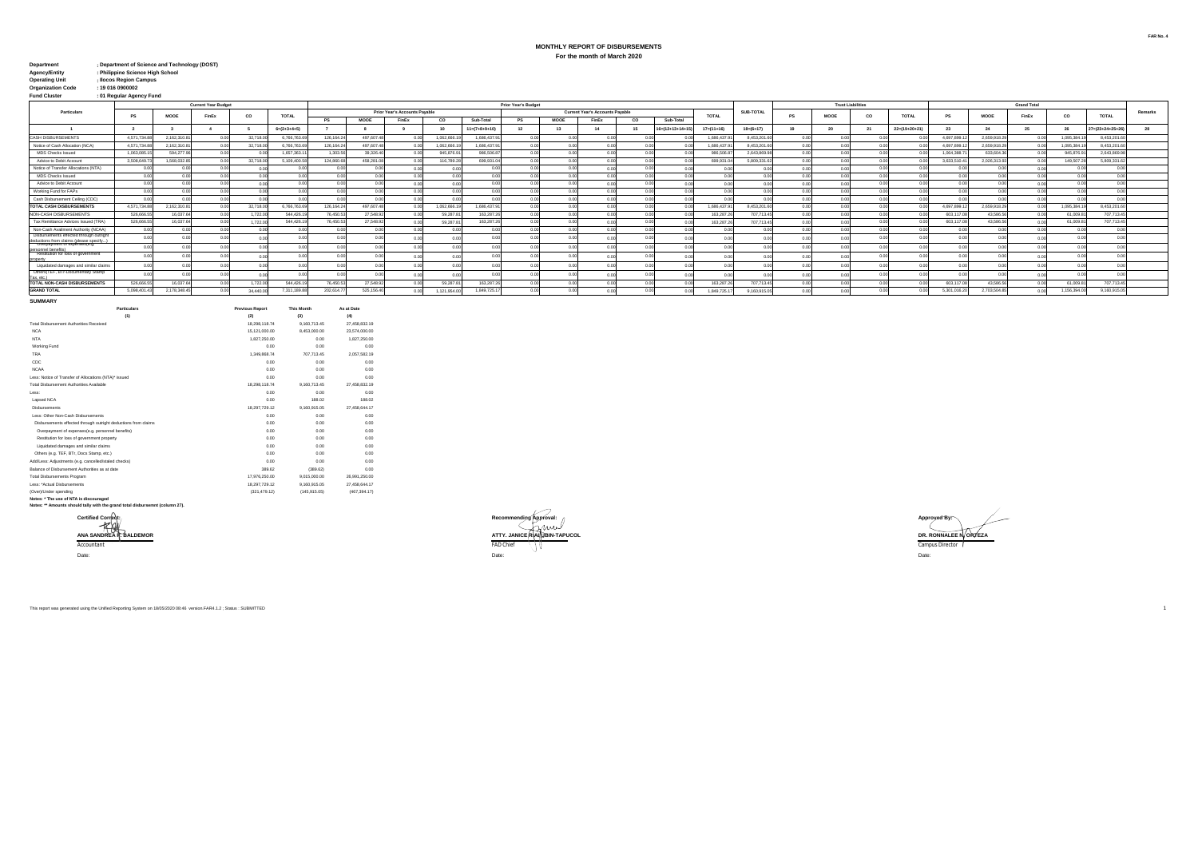## **MONTHLY REPORT OF DISBURSEMENTS For the month of March 2020**

| <b>Department</b>    | : Department of Science and Technology (DOST) |
|----------------------|-----------------------------------------------|
| <b>Agency/Entity</b> | : Philippine Science High School              |

| <b>Operating Unit</b> | : Ilocos Region Campus |
|-----------------------|------------------------|

**: : : Operating Office**<br>**Organization Code**<br>Fund Cluster **Fund Cluster 01 Regular Agency Fund**

|                                                                                                                    |              | <b>Prior Year's Budget</b><br><b>Current Year Budget</b> |       |           |               |                |            |                               |                |                         |      |                |                                        |            |                |                            |                  |                | <b>Trust Liabilities</b> |      | <b>Grand Total</b>    |              |             |       |             |                  |         |
|--------------------------------------------------------------------------------------------------------------------|--------------|----------------------------------------------------------|-------|-----------|---------------|----------------|------------|-------------------------------|----------------|-------------------------|------|----------------|----------------------------------------|------------|----------------|----------------------------|------------------|----------------|--------------------------|------|-----------------------|--------------|-------------|-------|-------------|------------------|---------|
| Particulars                                                                                                        |              |                                                          |       |           |               |                |            | Prior Year's Accounts Payable |                |                         |      |                | <b>Current Year's Accounts Payable</b> |            |                |                            | <b>SUB-TOTAL</b> |                |                          |      |                       |              |             |       |             |                  | Remarks |
|                                                                                                                    | PS           | <b>MODE</b>                                              | FinEx | co        | <b>TOTAL</b>  |                | MOOE       | FinEx                         | co             | Sub-Total               | PS   | <b>MOOE</b>    | FinEx                                  | co         | Sub-Total      | TOTAL                      |                  | PS             | <b>MOOE</b>              | co   | TOTAL                 | PS           | MOOE        | FinEx | co          | <b>TOTAL</b>     |         |
|                                                                                                                    |              |                                                          |       |           | $6m(2+3+4+5)$ |                |            |                               | 10             | $11 = (7 + 8 + 9 + 10)$ | 12   | 13             | $\overline{A}$                         |            | 16=(12+13+14+1 | $17 = (11 + 16)$           | $18=(6+17)$      | 19             |                          | 255  | $22 = (19 + 20 + 21)$ | 23           | 24          |       |             | 27=(23+24+25+26) |         |
| <b>CASH DISBURSEMENTS</b>                                                                                          | 4.571.734.88 | 2.162.310.81                                             | 0.00  | 32,718.00 | 6,766,763.69  | 126.164.24     | 497.607.4  | 0.00                          | 1.062.666.     | 1.686.437.9             | 0.00 |                | 0.00                                   |            |                | 1.686.437.9                | 8.453.201.6      | 00             | 0.00                     |      |                       | 4.697.899.12 | 2,659,918.2 | 0.00  | 1.095.384   | 8.453.201.60     |         |
| Notice of Cash Allocation (NCA)                                                                                    | 4.571.734.88 | 2.162.310.81                                             |       | 32,718.00 | 6,766,763.6   | 126.164.24     | 497.607.4  | 0.00                          | 1.062.666.1    | 1.686.437.9             | 0.00 |                | 0.00                                   |            |                | 1.686.437.9                | 8.453.201.6      |                | 0.00                     | 0.00 |                       | 4.697.899.12 | 2,659,918.2 | 000   | 1.095.384   | 8.453.201.6      |         |
| MDS Checks Issued                                                                                                  | 1.063.085.1  | 594.277.96                                               | 0.00  |           | 1.657.363.1   | 1.303.56       | 39,326.40  | 00                            | 945, 876.9     | 986,506.87              | 0.00 |                | 0.00                                   |            |                | 986,506.8                  | 2.643.869.9      |                | 0.00                     | 0.00 |                       | 1.064.388.71 | 633, 604.3  | 00    | 945,876.9   | 2.643.869.98     |         |
| Advice to Debit Account                                                                                            | 3.508.649.7  | 1.568.032.85                                             | 0.001 | 32,718.00 | 5,109,400.58  | 124,860.68     | 458,281.0  | 00                            | 116,789.2      | 699,931.04              | 0.00 | 00             | 0.00                                   |            |                | 699,931.0                  | 5.809.331.62     | 0.0            | 0.00                     | 0.00 | 0.001                 | 3.633.510.41 | 2.026.313.9 | 0.00  | 149,507.2   | 5.809.331.62     |         |
| Notice of Transfer Allocations (NTA)                                                                               | 0.00         | 0.00                                                     | n nr  | n nn      |               |                |            | 0.00                          | 0.00           |                         | 0.00 | 00             | 0.00                                   |            |                |                            | 0 <sup>0</sup>   | 0 <sup>o</sup> | 0.00                     | 0.00 |                       | 0.00         |             | 0.00  | 0.00        |                  |         |
| MDS Checks Issued                                                                                                  | 0.00         | 0.00                                                     | 0 OC  |           |               |                |            | 00                            | 0.01           |                         |      |                | 0.00                                   |            |                |                            |                  |                | 0.00                     | 0.00 |                       | 0.00         |             | 0.00  |             |                  |         |
| Advice to Debit Account                                                                                            | 0.00         | 0.00                                                     | 0.00  |           |               |                |            |                               |                |                         |      |                |                                        |            |                |                            |                  |                |                          | 0.00 | 0.00                  | 0.00         |             |       |             |                  |         |
| Working Fund for FAPs                                                                                              | 0.00         | 0.00                                                     | 0.00  | n nn      | n nn          |                |            | 0.00                          | 0.00           | 0.00                    | 0.00 | 0 <sup>0</sup> | 0.00                                   | $^{\circ}$ |                | 0 <sup>0<sup>c</sup></sup> | 0.00             | 00             | 0.00                     | 0.00 | 0.00                  | 0.00         |             | 0.00  | 0.00        | 00               |         |
| Cash Disbursement Ceiling (CDC)                                                                                    | 0.00         | 0.00                                                     | 0.00  |           |               | 0.00           |            | 0.00                          | 0.00           |                         |      |                | 0.00                                   |            |                |                            | 0.01             | 00             | 0.00                     | 0.00 |                       | 0.00         |             | 0.00  |             |                  |         |
| <b>TOTAL CASH DISBURSEMENTS</b>                                                                                    | 4.571.734.88 | 2.162.310.81                                             |       | 32,718.00 | 6.766.763.6   | 126.164.2      | 497,607.4  |                               | 1.062.666.     | 1.686.437.9             | 0.00 | 00             | 0.00                                   |            |                | 1.686.437.                 | 8.453.201.6      |                |                          | 0.00 |                       | 4.697.899.12 | 2,659,918.2 |       | 1.095.384   | 8.453.201.6      |         |
| NON-CASH DISBURSEMENTS                                                                                             | 526,666.5    | 16.037.64                                                | n nn  | 1.722.00  | 544.426.1     | 76,450.5       | 27,548.9   | 0.00                          | 59,287.8       | 163.287.2               | 0.00 |                | 0.00                                   |            |                | 163,287.2                  | 707 713 45       | 0.0            | 0.00                     | 0.00 |                       | 603.117.08   | 43,586.5    | 0.00  | 61,009.8    | 707.713.45       |         |
| Tax Remittance Advices Issued (TRA)                                                                                | 526,666.55   | 16,037.64                                                |       | 1.722.00  | 544,426.1     | 76,450.53      | 27,548.9   |                               | 59,287.8       | 163.287.2               |      |                | 0.00                                   |            |                | 163,287.2                  | 707.713.45       |                |                          | 0.00 |                       | 603.117.08   | 43.586.5    |       | 61,009.8    | 707.713.45       |         |
| Non-Cash Availment Authority (NCAA)                                                                                | 0.00         | 0.00                                                     | 0.00  |           |               | 000            |            |                               |                |                         |      |                |                                        |            |                |                            |                  |                |                          | 0.00 |                       | 0.00         |             |       |             |                  |         |
| Disbursements effected through outright<br>deductions from claims (please specify.<br>Overpayment of expenses(e.g. | 0.00         |                                                          |       |           |               |                |            |                               |                |                         |      |                | 0.00                                   |            |                |                            |                  |                |                          |      |                       |              |             |       |             |                  |         |
|                                                                                                                    | 0.00         | 0.00                                                     | 0.00  |           |               | 0.00           |            | 00                            | 0 <sup>0</sup> | 0.00                    |      | 0.00           | 0.00                                   |            |                |                            | 0.00             |                | 0 <sub>0</sub>           | 0.00 | 0.00                  | 0.00         |             | 0.00  |             |                  |         |
| personnel benefits)<br>Kestitution for loss of government<br>property                                              | 0.00         | 0.00                                                     |       |           |               |                |            |                               |                |                         |      |                |                                        |            |                |                            | 0.01             |                |                          |      |                       | 0.00         |             |       |             |                  |         |
| Liquidated damages and similar claims                                                                              | 0.00         | 0.00                                                     |       |           |               |                |            |                               |                |                         |      |                |                                        |            |                |                            |                  |                | 0 <sub>0</sub>           |      |                       | 0.00         |             |       |             |                  |         |
| Others(TEF, BTr-Documentary Stamp<br>Tax. etc.)                                                                    |              |                                                          |       |           |               | 0 <sup>0</sup> |            | 0.00                          |                |                         |      |                | 0.00                                   |            |                |                            | 0 <sup>0</sup>   |                |                          |      |                       |              |             | 0.00  |             |                  |         |
| TOTAL NON-CASH DISBURSEMENTS                                                                                       | 526,666.55   | 16.037.64                                                | 0.00  | 1.722.00  | 544,426.1     | 76,450.53      | 27,548.9   | 0.00                          | 59,287.8       | 163,287.2               |      |                | 0.00                                   |            |                | 163,287.2                  | 707.713.4        |                |                          | 0.00 |                       | 603.117.08   | 43,586.5    | 0.0   | 61.009.8    | 707,713.45       |         |
| <b>GRAND TOTAL</b>                                                                                                 | 5.098.401.4  | 2.178.348.45                                             |       | 34,440.00 | 7.311.189.8   | 202.614.7      | 525.156.40 | 0.00                          | 1,121,954.0    | 1.849.725.1             | 0.00 |                | 0.00                                   |            |                | 1.849.725.1                | 9.160.915.05     |                | 0.00                     | 0.00 |                       | 5.301.016.20 | 2.703.504.8 | 0.00  | 1.156.394.0 | 9.160.915.05     |         |
| <b>CUMMADY</b>                                                                                                     |              |                                                          |       |           |               |                |            |                               |                |                         |      |                |                                        |            |                |                            |                  |                |                          |      |                       |              |             |       |             |                  |         |

| <b>Particulars</b>                                             | <b>Previous Report</b> | <b>This Month</b> | As at Date    |  |  |  |
|----------------------------------------------------------------|------------------------|-------------------|---------------|--|--|--|
| (1)                                                            | (2)                    | (3)               | (4)           |  |  |  |
| Total Disbursement Authorities Received                        | 18.298.118.74          | 9.160.713.45      | 27.458.832.19 |  |  |  |
| <b>NCA</b>                                                     | 15.121.000.00          | 8.453.000.00      | 23.574.000.00 |  |  |  |
| <b>NTA</b>                                                     | 1.827.250.00           | 0.00              | 1.827.250.00  |  |  |  |
| Working Fund                                                   | 0.00                   | 0.00              | 0.00          |  |  |  |
| <b>TRA</b>                                                     | 1.349.868.74           | 707.713.45        | 2.057.582.19  |  |  |  |
| CDC                                                            | 0.00                   | 0.00              | 0.00          |  |  |  |
| <b>NCAA</b>                                                    | 0.00                   | 0.00              | 0.00          |  |  |  |
| Less: Notice of Transfer of Allocations (NTA)* issued          | 0.00                   | 0.00              | 0.00          |  |  |  |
| Total Dishursement Authorities Available                       | 18.298.118.74          | 9,160,713.45      | 27.458.832.19 |  |  |  |
| Less:                                                          | 0.00                   | 0.00              | 0.00          |  |  |  |
| Lapsed NCA                                                     | 0.00                   | 188.02            | 188.02        |  |  |  |
| <b>Dishursements</b>                                           | 18.297.729.12          | 9.160.915.05      | 27.458.644.17 |  |  |  |
| Less: Other Non-Cash Disbursements                             | 0.00                   | 0.00              | 0.00          |  |  |  |
| Disbursements effected through outright deductions from claims | 0.00                   | 0.00              | 0.00          |  |  |  |
| Overpayment of expenses(e.g. personnel benefits)               | 0.00                   | 0.00              | 0.00          |  |  |  |
| Restitution for loss of government property                    | 0.00                   | 0.00              | 0.00          |  |  |  |
| Liquidated damages and similar claims                          | 0.00                   | 0.00              | 0.00          |  |  |  |
| Others (e.g. TEF. BTr. Docs Stamp, etc.)                       | 0.00                   | 0.00              | 0.00          |  |  |  |
| Add/Less: Adjustments (e.g. cancelled/staled checks)           | 0.00                   | 0.00              | 0.00          |  |  |  |
| Balance of Dishursement Authorities as at date                 | 389.62                 | (389.62)          | 0.00          |  |  |  |
| <b>Total Disbursements Program</b>                             | 17.976.250.00          | 9.015.000.00      | 26.991.250.00 |  |  |  |
| Less: *Actual Dishursements                                    | 18.297.729.12          | 9.160.915.05      | 27.458.644.17 |  |  |  |
| (Over)/Under spending                                          | (321.479.12)           | (145.915.05)      | (467.394.17)  |  |  |  |
| Advanced White company of APPLA for all company of             |                        |                   |               |  |  |  |

**Notes: \* The use of NTA is discouraged Notes: \*\* Amounts should tally with the grand total disbursemnt (column 27).**



This report was generated using the Unified Reporting System on 18/05/2020 08:46 version.FAR4.1.2 ; Status : SUBMITTED 1

**FAR No. 4**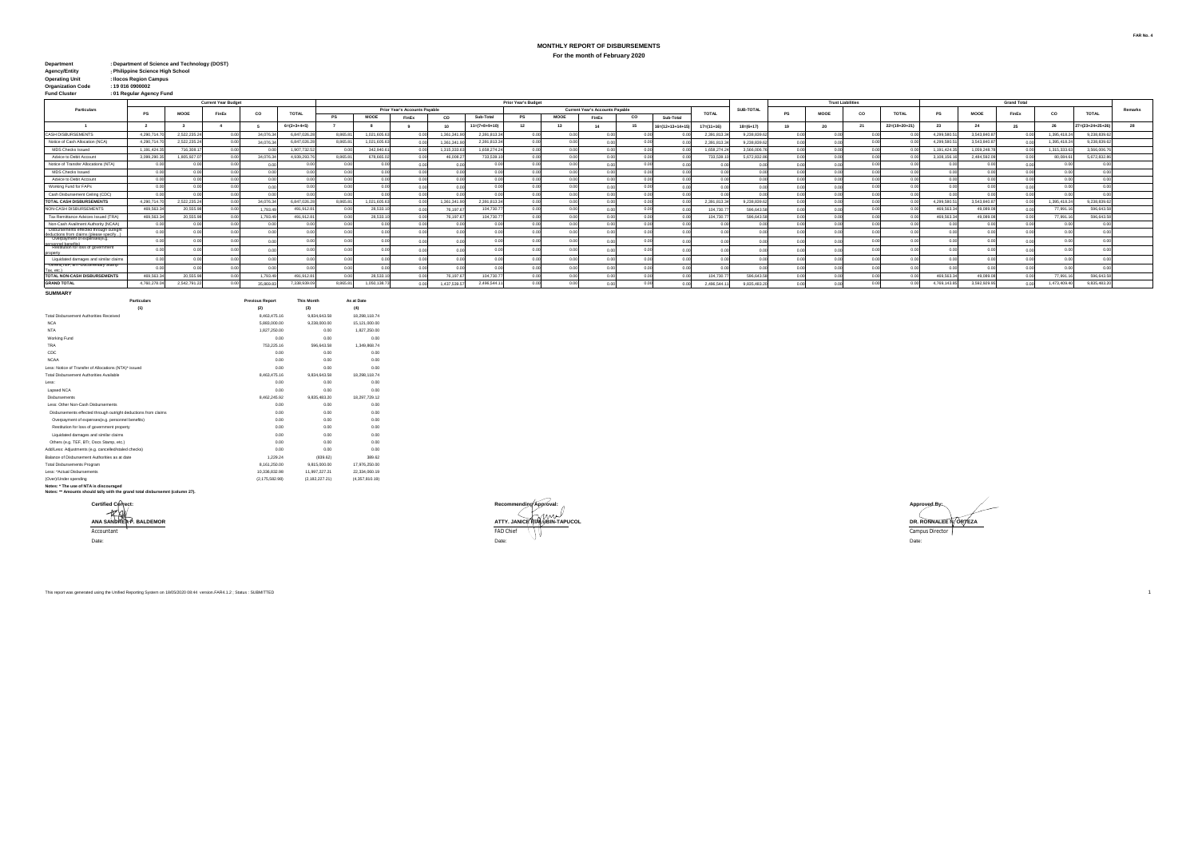## **MONTHLY REPORT OF DISBURSEMENTS For the month of February 2020**

| Department                           | : Department of Science and Technology (DOST) |
|--------------------------------------|-----------------------------------------------|
| Agency/Entity                        | : Philippine Science High School              |
| and the property of the first state. | Holder Countries Communication                |

| Operating Unit           | : Ilocos Region Campus   |
|--------------------------|--------------------------|
| <b>Organization Code</b> | : 19016090002            |
| <b>Fund Cluster</b>      | : 01 Regular Agency Fund |

|                                                                                   |              |              | <b>Current Year Budget</b> |           |                       |                 |              |                               |             |                | Prior Year's Budget |             |                                 |    |                  |                  |                 |      | <b>Trust Liabilities</b>   |        |                            |              |              |       |              |                 |         |
|-----------------------------------------------------------------------------------|--------------|--------------|----------------------------|-----------|-----------------------|-----------------|--------------|-------------------------------|-------------|----------------|---------------------|-------------|---------------------------------|----|------------------|------------------|-----------------|------|----------------------------|--------|----------------------------|--------------|--------------|-------|--------------|-----------------|---------|
| Particulars                                                                       |              | MOOE         | FinEx                      | co        | <b>TOTAL</b>          |                 |              | Prior Year's Accounts Pavable |             |                |                     |             | Current Year's Accounts Payable |    |                  | <b>TOTAL</b>     | SUB-TOTAL       |      | MOOE                       | co     | <b>TOTAL</b>               | PS           | MOOE         | FinEx | co           | TOTAL           | Remarks |
|                                                                                   |              |              |                            |           |                       | PS              | MOOE         | FinEx                         | co          | Sub-Total      | <b>PS</b>           | <b>MOOE</b> | FinEx                           | co | Sub-Total        |                  |                 |      |                            |        |                            |              |              |       |              |                 |         |
|                                                                                   |              |              |                            |           | $6 = (2 + 3 + 4 + 5)$ |                 |              |                               |             | $11n(7+8+9+1)$ | 12 <sub>1</sub>     | 12          | 14                              |    | 16-(12+13+14+15) | $17 = (11 + 16)$ | $18 = (6 + 17)$ |      |                            |        | $22 = (19 + 20 + 21)$      | 23           |              |       |              | 27-(23+24+25+2) |         |
| <b>CASH DISBURSEMENTS</b>                                                         | 4.290.714.70 | 2.522.235.24 | - 0.00                     | 34.076.34 | 6.847.026.28          | 8.865.81        | 1.021.605.63 |                               | 1.361.341.9 | 2.391.813.34   | n on                | n nn        |                                 |    |                  | 2.391.813.       | 9.238.839.6     | 0.00 | 0 <sup>0<sup>o</sup></sup> | n nn I | n nn                       | 4.299.580.5  | 3.543.840.87 |       | 1.395.418.24 | 9.238.839.      |         |
| Notice of Cash Allocation (NCA)                                                   | 4.290.714.7  | 2.522.235.2  |                            | 34.076.3  | 6.847.026.28          | 8.865.81        | 1.021.605.63 |                               | 1.361.341.  | 2.391.813.34   |                     |             |                                 |    |                  | 2.391.8131       | 9.238.839.6     |      |                            | חה ר   | n nn                       | 4.299.580.5  | 3.543.840.8  |       | 1.395.418.24 | 9.238.839.      |         |
| <b>MDS Checks Issued</b>                                                          | 1.191.424.3  | 716,308.17   |                            |           | 1.907.732.52          | 0.00            | 342,940.61   |                               | 1.315.333.6 | 1.658.274.24   |                     |             |                                 |    |                  | 1.658.274.2      | 3.566.006.7     |      |                            | n nn l | n nn                       | 1.191.424.3  | 1.059.248.78 |       | 1.315.333.63 | 3.566.006.      |         |
| Advice to Debit Account                                                           | 3.099.290.35 | 1,805,927.07 |                            | 34.076.34 | 4.939.293.76          | 8.865.81        | 678,665.02   |                               | 46.008      | 733.539.10     |                     |             |                                 |    |                  | 733.539.1        | 5.672.832.8     |      |                            | 0.001  |                            | 3.108.156.16 | 2.484.592.09 |       | 80.084.61    | 5.672.832.8     |         |
| Notice of Transfer Allocations (NTA)                                              | 0.00         | 0.00         |                            |           |                       | 0.00            |              |                               |             |                |                     |             |                                 |    |                  |                  |                 |      |                            | 0.00   |                            |              |              |       |              |                 |         |
| <b>MDS Checks Issued</b>                                                          | 0.00         | 0.00         |                            |           |                       |                 |              |                               |             |                |                     |             |                                 |    |                  |                  |                 |      |                            |        |                            |              |              |       |              |                 |         |
| Advice to Debit Account                                                           | 0.00         | 0.00         |                            |           |                       | 0.00            | 00           |                               |             | 0.00           |                     |             |                                 |    |                  |                  |                 |      |                            | 0.00   | 0.00                       |              |              |       | 0.00         |                 |         |
| Working Fund for FAPs                                                             | 0.00         | 0.00         |                            |           |                       | 0 <sup>o</sup>  | 00           |                               |             | n nn           |                     |             |                                 |    | 00               |                  |                 | 0.00 |                            |        | 0.00                       |              |              | 0.00  |              |                 |         |
| Cash Disbursement Ceiling (CDC)                                                   | 0.00         |              |                            |           |                       | 0.00            |              | n ni                          |             | n on           |                     |             |                                 |    | 00               |                  |                 | 0.00 | 0.00                       | 0.00   | 0.00                       |              |              | 0.00  |              |                 |         |
| TOTAL CASH DISBURSEMENTS                                                          | 4.290.714.70 | 2.522.235.2  |                            | 34.076.34 | 6.847.026.2           | 8,865.81        | 1.021.605.63 |                               | 1.361.341.9 | 2,391,813,34   |                     |             |                                 |    |                  | 2.391.813.3      | 9.238.839.6     | 0.00 | 000                        | n onl  | 0 <sup>0<sup>c</sup></sup> | 4.299.580.5  | 3.543.840.8  |       | 1.395.418.24 | 9.238.839.63    |         |
| NON-CASH DISBURSEMENTS                                                            | 469,563.3    | 20,555.9     |                            | 1.793.49  | 491.912.81            |                 | 28,533.1     |                               | 76.197.6    | 104,730.7      |                     |             |                                 |    |                  | 104,730.7        | 596,643.6       |      |                            |        |                            | 469,563.3    | 49.089.08    |       | 77,991.1     | 596,643.        |         |
| Tax Remittance Advices Issued (TRA                                                | 469.563.34   | 20,555.9     |                            | 1,793.49  | 491.912.81            |                 | 28,533.1     |                               | 76.197.6    | 104.730.77     |                     |             |                                 |    |                  | 104,730.7        | 596,643.5       |      |                            |        |                            | 469,563.3    | 49.089.0     |       | 77,991.1     | 596,643.        |         |
| Non-Cash Availment Authority (NCAA)                                               | 0.00         |              |                            |           |                       |                 |              |                               |             |                |                     |             |                                 |    |                  |                  |                 |      |                            |        |                            |              |              |       |              |                 |         |
| Disbursements effected through outright<br>deductions from claims (please specify | 0.00         |              |                            |           |                       |                 |              |                               |             |                |                     |             |                                 |    |                  |                  |                 |      |                            |        |                            |              |              |       |              |                 |         |
| Overpayment of expenses(e.g.<br>personnel benefits)                               |              |              |                            |           |                       |                 |              |                               |             |                |                     |             |                                 |    |                  |                  |                 |      |                            |        |                            |              |              |       |              |                 |         |
| Restitution for loss of government                                                |              |              |                            |           |                       |                 |              |                               |             |                |                     |             |                                 |    |                  |                  |                 |      |                            |        |                            |              |              |       |              |                 |         |
| Liquidated damages and similar claims                                             | 0.00         |              |                            |           |                       |                 |              |                               |             | 0.00           |                     |             |                                 |    |                  |                  |                 |      |                            |        | 0.00                       |              |              |       |              |                 |         |
| Others (IEF, BIr-Documentary Stamp<br>Tax. etc.)                                  |              |              |                            |           |                       |                 |              |                               |             |                |                     |             |                                 |    |                  |                  |                 |      |                            |        |                            |              |              |       |              |                 |         |
| TOTAL NON-CASH DISBURSEMENTS                                                      | 469, 563.3   | 20,555.9     |                            | 1.793.4   | 491.912.8             |                 | 28,533.1     |                               | 76.197.     | 104.730.77     |                     |             |                                 |    |                  | 104,730.7        | 596,643.5       |      |                            |        |                            | 469,563.3    | 49.089.0     |       | 77,991.1     | 596,643.        |         |
| <b>GRAND TOTAL</b>                                                                | 4,760,278.04 | 2.542.791.2  |                            | 35,869.8  | 7 338 939 0           | <b>B 865 81</b> | 1.050.138.73 |                               | 1.437.539.  | 2.496.544.1    |                     |             |                                 |    |                  | 496.544          | 9.835.483.2     |      |                            |        |                            | 4,769,143.8  | 3.592.929.9  |       | 1,473,409.40 | 9.835.483.2     |         |

**SUMMARY**

| Particulars                                                                  | <b>Previous Report</b> | <b>This Month</b> | As at Date     |  |  |
|------------------------------------------------------------------------------|------------------------|-------------------|----------------|--|--|
| (1)                                                                          | (2)                    | (3)               | (4)            |  |  |
| Total Dishursement Authorities Received                                      | 8.463.475.16           | 9.834.643.58      | 18.298.118.74  |  |  |
| NCA                                                                          | 5.883.000.00           | 9.238.000.00      | 15.121.000.00  |  |  |
| <b>NTA</b>                                                                   | 1.827.250.00           | 0.00              | 1.827.250.00   |  |  |
| Working Fund                                                                 | 0.00                   | 0.00              | 0.00           |  |  |
| <b>TRA</b>                                                                   | 753.225.16             | 596.643.58        | 1.349.868.74   |  |  |
| CDC                                                                          | 0.00                   | 0.00              | 0.00           |  |  |
| <b>NCAA</b>                                                                  | 0.00                   | 0.00              | 0.00           |  |  |
| Less: Notice of Transfer of Allocations (NTA)* issued                        | 0.00                   | 0.00              | 0.00           |  |  |
| Total Disbursement Authorities Available                                     | 8 463 475 16           | 9.834.643.58      | 18 298 118 74  |  |  |
| Less:                                                                        | 0.00                   | 0.00              | 0.00           |  |  |
| Lapsed NCA                                                                   | 0.00                   | 0.00              | 0.00           |  |  |
| <b>Disbursements</b>                                                         | 8.462.245.92           | 9.835.483.20      | 18.297.729.12  |  |  |
| Less: Other Non-Cash Disbursements                                           | 0.00                   | 0.00              | 0.00           |  |  |
| Disbursements effected through outright deductions from claims               | 0.00                   | 0.00              | 0.00           |  |  |
| Overpayment of expenses(e.g. personnel benefits)                             | 0.00                   | 0.00              | 0.00           |  |  |
| Restitution for loss of government property                                  | 0.00                   | 0.00              | 0.00           |  |  |
| Liquidated damages and similar claims                                        | 0.00                   | 0.00              | 0.00           |  |  |
| Others (e.g. TEF, BTr. Docs Stamp, etc.)                                     | 0.00                   | 0.00              | 0.00           |  |  |
| Add/Less: Adjustments (e.g. cancelled/staled checks)                         | 0.00                   | 0.00              | 0.00           |  |  |
| Ralance of Disbursement Authorities as at date                               | 1.229.24               | (839.62)          | 389.62         |  |  |
| <b>Total Disbursements Program</b>                                           | 8.161.250.00           | 9.815.000.00      | 17.976.250.00  |  |  |
| Less: *Actual Disbursements                                                  | 10.336.832.98          | 11.997.227.21     | 22.334.060.19  |  |  |
| (Over)/Under spending                                                        | (2.175.582.98)         | (2.182.227.21)    | (4.357.810.19) |  |  |
| Notes: * The use of NTA is discouraged                                       |                        |                   |                |  |  |
| Notes: ** Amounts should tally with the grand total disbursemnt (column 27). |                        |                   |                |  |  |



This report was generated using the Unified Reporting System on 18/05/2020 08:44 version.FAR4.1.2 ; Status : SUBMITTED 1





**FAR No. 4**